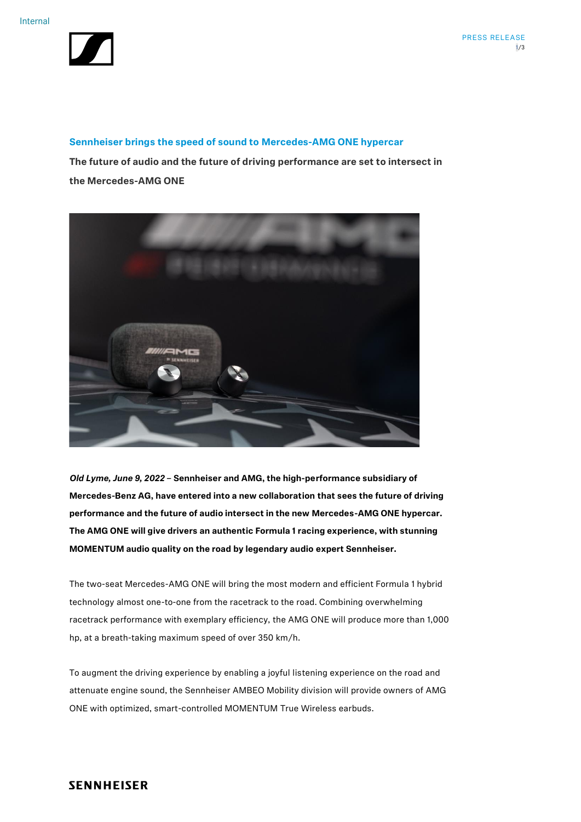

### **Sennheiser brings the speed of sound to Mercedes-AMG ONE hypercar**

**The future of audio and the future of driving performance are set to intersect in the Mercedes-AMG ONE**



*Old Lyme, June 9, 2022* **– Sennheiser and AMG, the high-performance subsidiary of Mercedes-Benz AG, have entered into a new collaboration that sees the future of driving performance and the future of audio intersect in the new Mercedes-AMG ONE hypercar. The AMG ONE will give drivers an authentic Formula 1 racing experience, with stunning MOMENTUM audio quality on the road by legendary audio expert Sennheiser.** 

The two-seat Mercedes-AMG ONE will bring the most modern and efficient Formula 1 hybrid technology almost one-to-one from the racetrack to the road. Combining overwhelming racetrack performance with exemplary efficiency, the AMG ONE will produce more than 1,000 hp, at a breath-taking maximum speed of over 350 km/h.

To augment the driving experience by enabling a joyful listening experience on the road and attenuate engine sound, the Sennheiser AMBEO Mobility division will provide owners of AMG ONE with optimized, smart-controlled MOMENTUM True Wireless earbuds.

## **SENNHEISER**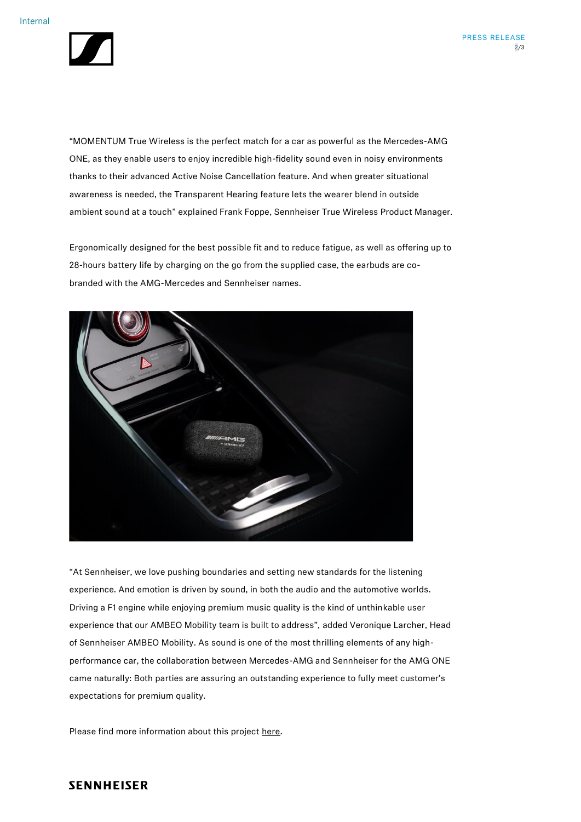

"MOMENTUM True Wireless is the perfect match for a car as powerful as the Mercedes-AMG ONE, as they enable users to enjoy incredible high-fidelity sound even in noisy environments thanks to their advanced Active Noise Cancellation feature. And when greater situational awareness is needed, the Transparent Hearing feature lets the wearer blend in outside ambient sound at a touch" explained Frank Foppe, Sennheiser True Wireless Product Manager.

Ergonomically designed for the best possible fit and to reduce fatigue, as well as offering up to 28-hours battery life by charging on the go from the supplied case, the earbuds are cobranded with the AMG-Mercedes and Sennheiser names.



"At Sennheiser, we love pushing boundaries and setting new standards for the listening experience. And emotion is driven by sound, in both the audio and the automotive worlds. Driving a F1 engine while enjoying premium music quality is the kind of unthinkable user experience that our AMBEO Mobility team is built to address", added Veronique Larcher, Head of Sennheiser AMBEO Mobility. As sound is one of the most thrilling elements of any highperformance car, the collaboration between Mercedes-AMG and Sennheiser for the AMG ONE came naturally: Both parties are assuring an outstanding experience to fully meet customer's expectations for premium quality.

Please find more information about this project [here.](https://www.mercedes-amg.com/en/home.html)

# **SENNHEISER**